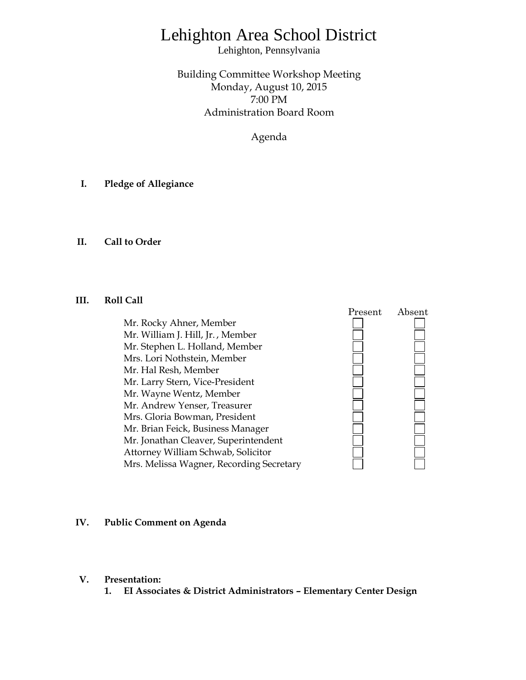# Lehighton Area School District

Lehighton, Pennsylvania

Building Committee Workshop Meeting Monday, August 10, 2015 7:00 PM Administration Board Room

Agenda

- **I. Pledge of Allegiance**
- **II. Call to Order**

### **III. Roll Call**

Mr. Rocky Ahner, Member Mr. William J. Hill, Jr. , Member Mr. Stephen L. Holland, Member Mrs. Lori Nothstein, Member Mr. Hal Resh, Member Mr. Larry Stern, Vice-President Mr. Wayne Wentz, Member Mr. Andrew Yenser, Treasurer Mrs. Gloria Bowman, President Mr. Brian Feick, Business Manager Mr. Jonathan Cleaver, Superintendent Attorney William Schwab, Solicitor Mrs. Melissa Wagner, Recording Secretary



#### **IV. Public Comment on Agenda**

- **V. Presentation:**
	- **1. EI Associates & District Administrators – Elementary Center Design**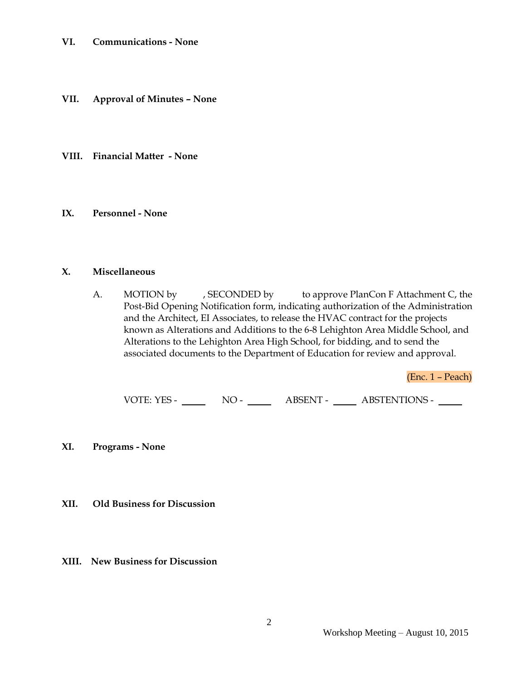- **VII. Approval of Minutes – None**
- **VIII. Financial Matter - None**
- **IX. Personnel - None**

#### **X. Miscellaneous**

A. MOTION by , SECONDED by to approve PlanCon F Attachment C, the Post-Bid Opening Notification form, indicating authorization of the Administration and the Architect, EI Associates, to release the HVAC contract for the projects known as Alterations and Additions to the 6-8 Lehighton Area Middle School, and Alterations to the Lehighton Area High School, for bidding, and to send the associated documents to the Department of Education for review and approval.

(Enc. 1 – Peach)

VOTE: YES - NO - NO - ABSENT - ABSTENTIONS -

- **XI. Programs - None**
- **XII. Old Business for Discussion**
- **XIII. New Business for Discussion**